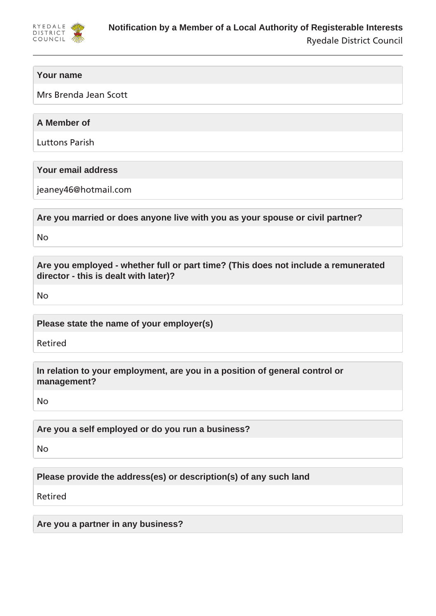

# **Your name**

Mrs Brenda Jean Scott

# **A Member of**

Luttons Parish

# **Your email address**

jeaney46@hotmail.com

**Are you married or does anyone live with you as your spouse or civil partner?**

No

**Are you employed - whether full or part time? (This does not include a remunerated director - this is dealt with later)?**

No

**Please state the name of your employer(s)**

Retired

**In relation to your employment, are you in a position of general control or management?**

No

**Are you a self employed or do you run a business?**

No

**Please provide the address(es) or description(s) of any such land**

Retired

**Are you a partner in any business?**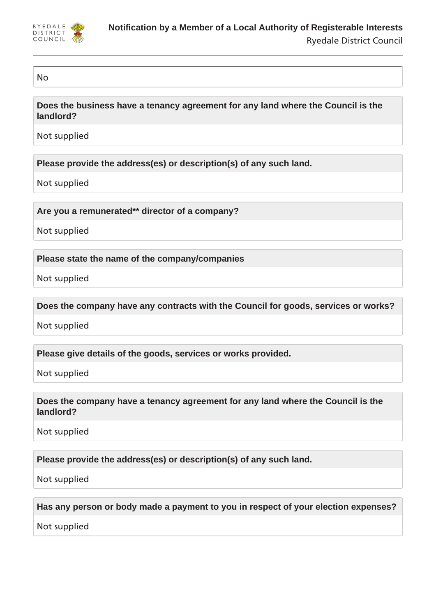

## No

**Does the business have a tenancy agreement for any land where the Council is the landlord?**

Not supplied

**Please provide the address(es) or description(s) of any such land.**

Not supplied

**Are you a remunerated\*\* director of a company?**

Not supplied

**Please state the name of the company/companies**

Not supplied

**Does the company have any contracts with the Council for goods, services or works?**

Not supplied

**Please give details of the goods, services or works provided.**

Not supplied

**Does the company have a tenancy agreement for any land where the Council is the landlord?**

Not supplied

**Please provide the address(es) or description(s) of any such land.**

Not supplied

**Has any person or body made a payment to you in respect of your election expenses?**

Not supplied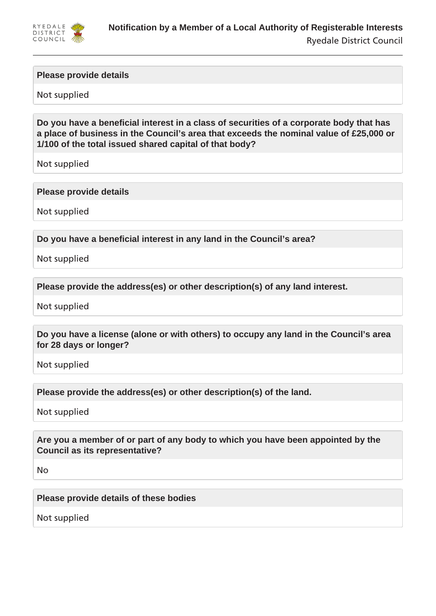

## **Please provide details**

Not supplied

**Do you have a beneficial interest in a class of securities of a corporate body that has a place of business in the Council's area that exceeds the nominal value of £25,000 or 1/100 of the total issued shared capital of that body?**

Not supplied

## **Please provide details**

Not supplied

**Do you have a beneficial interest in any land in the Council's area?**

Not supplied

**Please provide the address(es) or other description(s) of any land interest.**

Not supplied

**Do you have a license (alone or with others) to occupy any land in the Council's area for 28 days or longer?**

Not supplied

**Please provide the address(es) or other description(s) of the land.**

Not supplied

**Are you a member of or part of any body to which you have been appointed by the Council as its representative?**

No

**Please provide details of these bodies**

Not supplied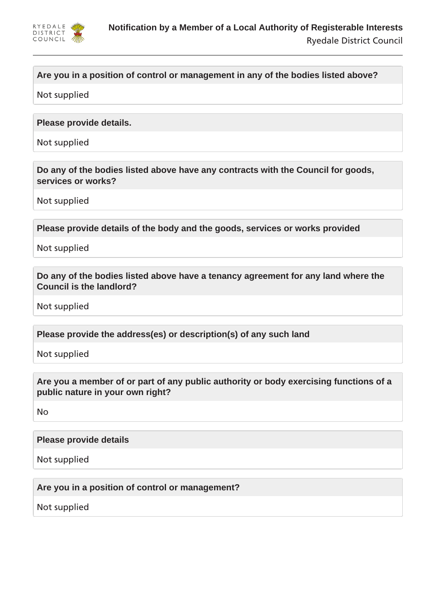

# **Are you in a position of control or management in any of the bodies listed above?**

Not supplied

## **Please provide details.**

Not supplied

**Do any of the bodies listed above have any contracts with the Council for goods, services or works?**

Not supplied

**Please provide details of the body and the goods, services or works provided**

Not supplied

**Do any of the bodies listed above have a tenancy agreement for any land where the Council is the landlord?**

Not supplied

**Please provide the address(es) or description(s) of any such land**

Not supplied

**Are you a member of or part of any public authority or body exercising functions of a public nature in your own right?**

No

## **Please provide details**

Not supplied

**Are you in a position of control or management?**

Not supplied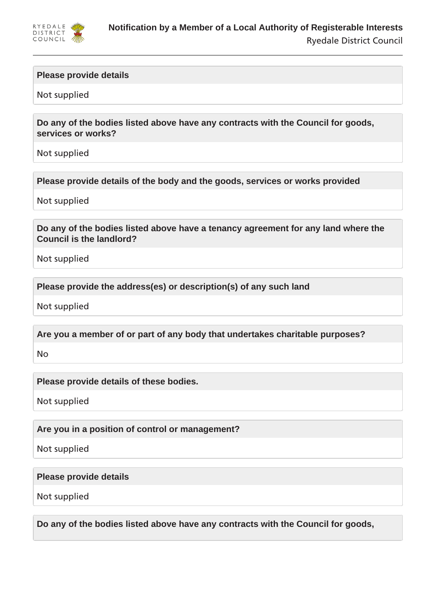

## **Please provide details**

Not supplied

**Do any of the bodies listed above have any contracts with the Council for goods, services or works?**

Not supplied

**Please provide details of the body and the goods, services or works provided**

Not supplied

**Do any of the bodies listed above have a tenancy agreement for any land where the Council is the landlord?**

Not supplied

**Please provide the address(es) or description(s) of any such land**

Not supplied

**Are you a member of or part of any body that undertakes charitable purposes?**

No

**Please provide details of these bodies.**

Not supplied

**Are you in a position of control or management?**

Not supplied

**Please provide details**

Not supplied

**Do any of the bodies listed above have any contracts with the Council for goods,**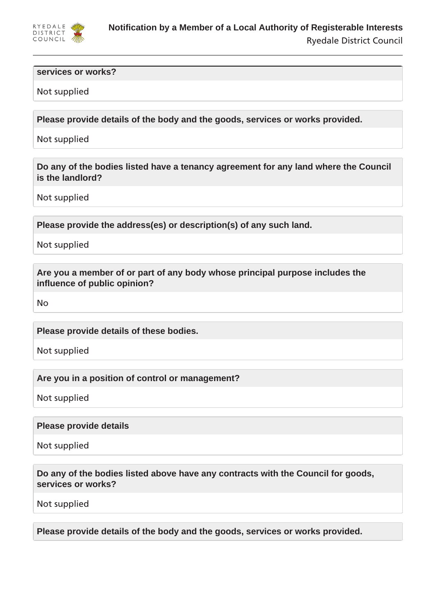

#### **services or works?**

## Not supplied

**Please provide details of the body and the goods, services or works provided.**

Not supplied

**Do any of the bodies listed have a tenancy agreement for any land where the Council is the landlord?**

Not supplied

**Please provide the address(es) or description(s) of any such land.**

Not supplied

**Are you a member of or part of any body whose principal purpose includes the influence of public opinion?**

No

**Please provide details of these bodies.**

Not supplied

**Are you in a position of control or management?**

Not supplied

**Please provide details**

Not supplied

**Do any of the bodies listed above have any contracts with the Council for goods, services or works?**

Not supplied

**Please provide details of the body and the goods, services or works provided.**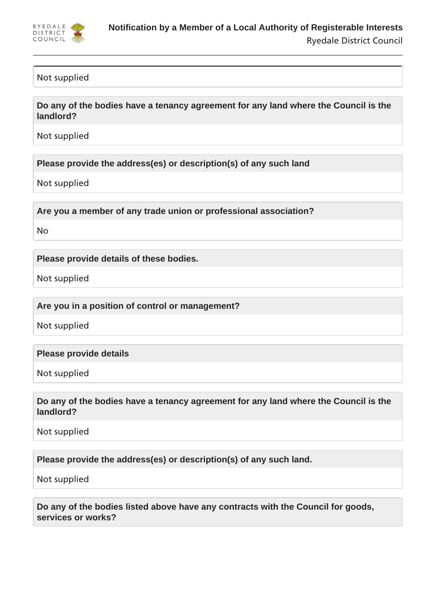

## Not supplied

**Do any of the bodies have a tenancy agreement for any land where the Council is the landlord?**

Not supplied

**Please provide the address(es) or description(s) of any such land**

Not supplied

**Are you a member of any trade union or professional association?**

No

**Please provide details of these bodies.**

Not supplied

**Are you in a position of control or management?**

Not supplied

**Please provide details**

Not supplied

**Do any of the bodies have a tenancy agreement for any land where the Council is the landlord?**

Not supplied

**Please provide the address(es) or description(s) of any such land.**

Not supplied

**Do any of the bodies listed above have any contracts with the Council for goods, services or works?**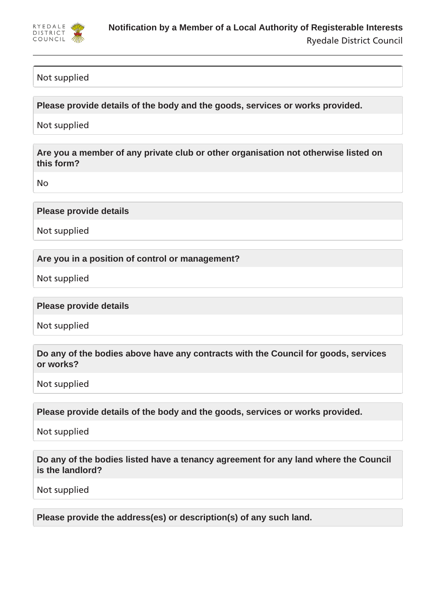

# Not supplied

**Please provide details of the body and the goods, services or works provided.**

Not supplied

**Are you a member of any private club or other organisation not otherwise listed on this form?**

No

## **Please provide details**

Not supplied

## **Are you in a position of control or management?**

Not supplied

## **Please provide details**

Not supplied

# **Do any of the bodies above have any contracts with the Council for goods, services or works?**

Not supplied

**Please provide details of the body and the goods, services or works provided.**

Not supplied

**Do any of the bodies listed have a tenancy agreement for any land where the Council is the landlord?**

Not supplied

**Please provide the address(es) or description(s) of any such land.**